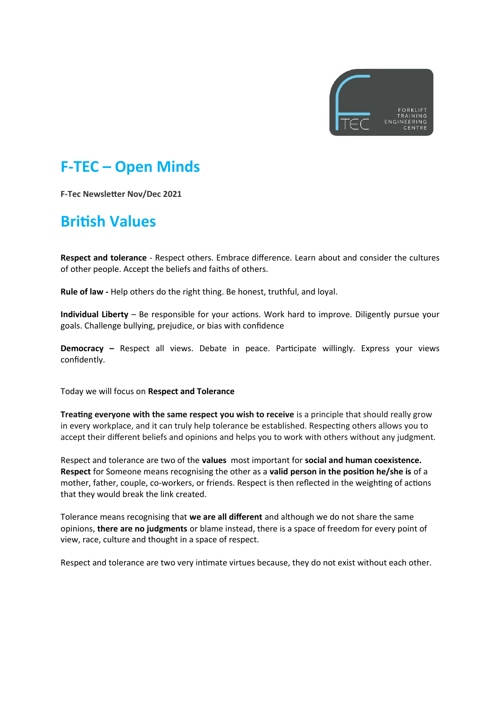

### **F-TEC – Open Minds**

**F-Tec Newsletter Nov/Dec 2021**

### **British Values**

**Respect and tolerance** - Respect others. Embrace difference. Learn about and consider the cultures of other people. Accept the beliefs and faiths of others.

**Rule of law -** Help others do the right thing. Be honest, truthful, and loyal.

**Individual Liberty** – Be responsible for your actions. Work hard to improve. Diligently pursue your goals. Challenge bullying, prejudice, or bias with confidence

**Democracy –** Respect all views. Debate in peace. Participate willingly. Express your views confidently.

Today we will focus on **Respect and Tolerance**

**Treating everyone with the same respect you wish to receive** is a principle that should really grow in every workplace, and it can truly help tolerance be established. Respecting others allows you to accept their different beliefs and opinions and helps you to work with others without any judgment.

Respect and tolerance are two of the **values** most important for **social and human coexistence. Respect** for Someone means recognising the other as a **valid person in the position he/she is** of a mother, father, couple, co-workers, or friends. Respect is then reflected in the weighting of actions that they would break the link created.

Tolerance means recognising that **we are all different** and although we do not share the same opinions, **there are no judgments** or blame instead, there is a space of freedom for every point of view, race, culture and thought in a space of respect.

Respect and tolerance are two very intimate virtues because, they do not exist without each other.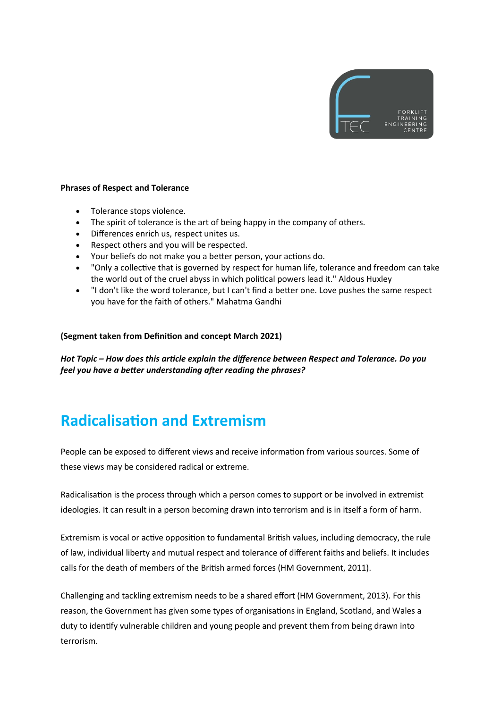

#### **Phrases of Respect and Tolerance**

- Tolerance stops violence.
- The spirit of tolerance is the art of being happy in the company of others.
- Differences enrich us, respect unites us.
- Respect others and you will be respected.
- Your beliefs do not make you a better person, your actions do.
- "Only a collective that is governed by respect for human life, tolerance and freedom can take the world out of the cruel abyss in which political powers lead it." Aldous Huxley
- "I don't like the word tolerance, but I can't find a better one. Love pushes the same respect you have for the faith of others." Mahatma Gandhi

#### **(Segment taken from Definition and concept March 2021)**

*Hot Topic – How does this article explain the difference between Respect and Tolerance. Do you feel you have a better understanding after reading the phrases?* 

# **Radicalisation and Extremism**

People can be exposed to different views and receive information from various sources. Some of these views may be considered radical or extreme.

Radicalisation is the process through which a person comes to support or be involved in extremist ideologies. It can result in a person becoming drawn into terrorism and is in itself a form of harm.

Extremism is vocal or active opposition to fundamental British values, including democracy, the rule of law, individual liberty and mutual respect and tolerance of different faiths and beliefs. It includes calls for the death of members of the British armed forces (HM Government, 2011).

Challenging and tackling extremism needs to be a shared effort (HM Government, 2013). For this reason, the Government has given some types of organisations in England, Scotland, and Wales a duty to identify vulnerable children and young people and prevent them from being drawn into terrorism.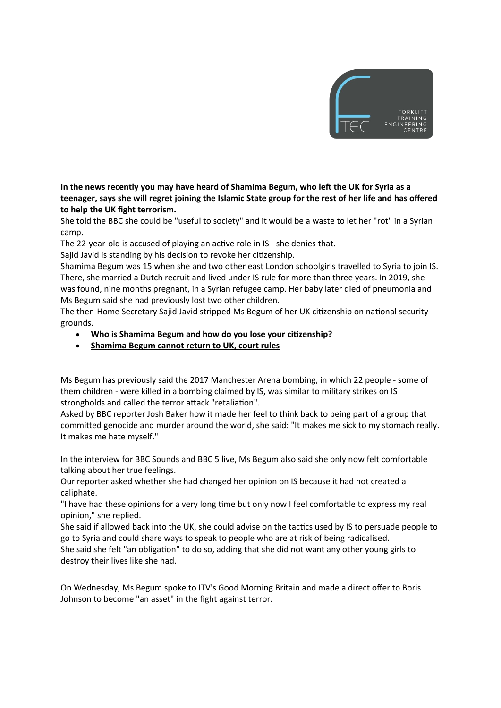

**In the news recently you may have heard of Shamima Begum, who left the UK for Syria as a teenager, says she will regret joining the Islamic State group for the rest of her life and has offered to help the UK fight terrorism.**

She told the BBC she could be "useful to society" and it would be a waste to let her "rot" in a Syrian camp.

The 22-year-old is accused of playing an active role in IS - she denies that.

Sajid Javid is standing by his decision to revoke her citizenship.

Shamima Begum was 15 when she and two other east London schoolgirls travelled to Syria to join IS. There, she married a Dutch recruit and lived under IS rule for more than three years. In 2019, she was found, nine months pregnant, in a Syrian refugee camp. Her baby later died of pneumonia and Ms Begum said she had previously lost two other children.

The then-Home Secretary Sajid Javid stripped Ms Begum of her UK citizenship on national security grounds.

- **Who is Shamima Begum and how do you lose your citizenship?**
- **Shamima Begum cannot return to UK, court rules**

Ms Begum has previously said the 2017 Manchester Arena bombing, in which 22 people - some of them children - were killed in a bombing claimed by IS, was similar to military strikes on IS strongholds and called the terror attack "retaliation".

Asked by BBC reporter Josh Baker how it made her feel to think back to being part of a group that committed genocide and murder around the world, she said: "It makes me sick to my stomach really. It makes me hate myself."

In the interview for BBC Sounds and BBC 5 live, Ms Begum also said she only now felt comfortable talking about her true feelings.

Our reporter asked whether she had changed her opinion on IS because it had not created a caliphate.

"I have had these opinions for a very long time but only now I feel comfortable to express my real opinion," she replied.

She said if allowed back into the UK, she could advise on the tactics used by IS to persuade people to go to Syria and could share ways to speak to people who are at risk of being radicalised.

She said she felt "an obligation" to do so, adding that she did not want any other young girls to destroy their lives like she had.

On Wednesday, Ms Begum spoke to ITV's Good Morning Britain and made a direct offer to Boris Johnson to become "an asset" in the fight against terror.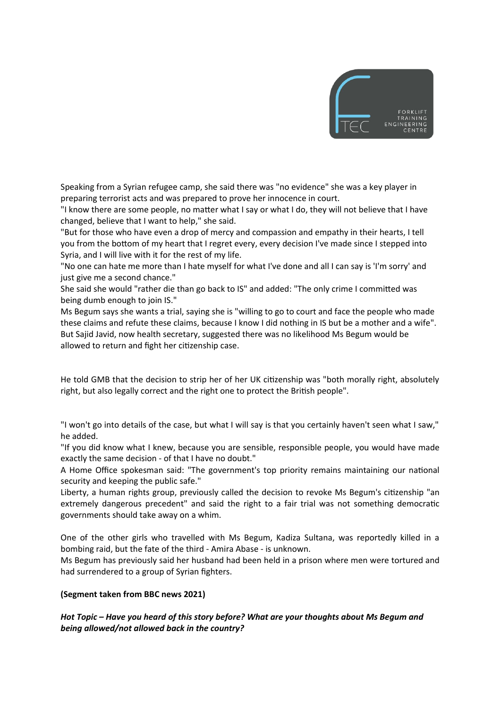

Speaking from a Syrian refugee camp, she said there was "no evidence" she was a key player in preparing terrorist acts and was prepared to prove her innocence in court.

"I know there are some people, no matter what I say or what I do, they will not believe that I have changed, believe that I want to help," she said.

"But for those who have even a drop of mercy and compassion and empathy in their hearts, I tell you from the bottom of my heart that I regret every, every decision I've made since I stepped into Syria, and I will live with it for the rest of my life.

"No one can hate me more than I hate myself for what I've done and all I can say is 'I'm sorry' and just give me a second chance."

She said she would "rather die than go back to IS" and added: "The only crime I committed was being dumb enough to join IS."

Ms Begum says she wants a trial, saying she is "willing to go to court and face the people who made these claims and refute these claims, because I know I did nothing in IS but be a mother and a wife". But Sajid Javid, now health secretary, suggested there was no likelihood Ms Begum would be allowed to return and fight her citizenship case.

He told GMB that the decision to strip her of her UK citizenship was "both morally right, absolutely right, but also legally correct and the right one to protect the British people".

"I won't go into details of the case, but what I will say is that you certainly haven't seen what I saw," he added.

"If you did know what I knew, because you are sensible, responsible people, you would have made exactly the same decision - of that I have no doubt."

A Home Office spokesman said: "The government's top priority remains maintaining our national security and keeping the public safe."

Liberty, a human rights group, previously called the decision to revoke Ms Begum's citizenship "an extremely dangerous precedent" and said the right to a fair trial was not something democratic governments should take away on a whim.

One of the other girls who travelled with Ms Begum, Kadiza Sultana, was reportedly killed in a bombing raid, but the fate of the third - Amira Abase - is unknown.

Ms Begum has previously said her husband had been held in a prison where men were tortured and had surrendered to a group of Syrian fighters.

#### **(Segment taken from BBC news 2021)**

*Hot Topic – Have you heard of this story before? What are your thoughts about Ms Begum and being allowed/not allowed back in the country?*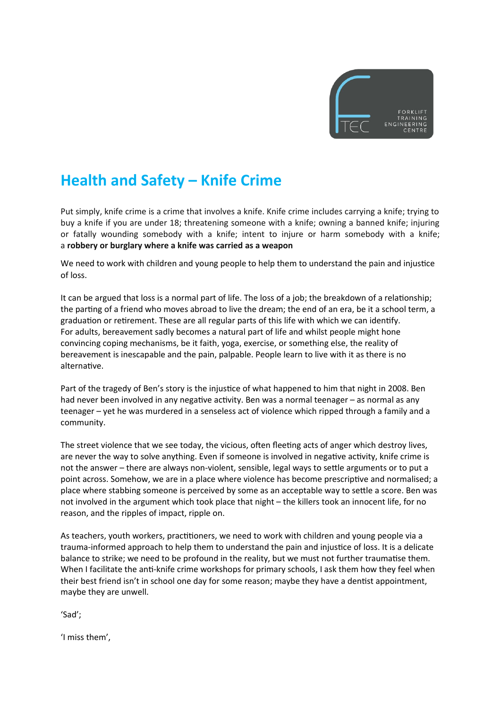

# **Health and Safety – Knife Crime**

Put simply, knife crime is a crime that involves a knife. Knife crime includes carrying a knife; trying to buy a knife if you are under 18; threatening someone with a knife; owning a banned knife; injuring or fatally wounding somebody with a knife; intent to injure or harm somebody with a knife; a **robbery or burglary where a knife was carried as a weapon**

We need to work with children and young people to help them to understand the pain and injustice of loss.

It can be argued that loss is a normal part of life. The loss of a job; the breakdown of a relationship; the parting of a friend who moves abroad to live the dream; the end of an era, be it a school term, a graduation or retirement. These are all regular parts of this life with which we can identify. For adults, bereavement sadly becomes a natural part of life and whilst people might hone convincing coping mechanisms, be it faith, yoga, exercise, or something else, the reality of bereavement is inescapable and the pain, palpable. People learn to live with it as there is no alternative.

Part of the tragedy of Ben's story is the injustice of what happened to him that night in 2008. Ben had never been involved in any negative activity. Ben was a normal teenager – as normal as any teenager – yet he was murdered in a senseless act of violence which ripped through a family and a community.

The street violence that we see today, the vicious, often fleeting acts of anger which destroy lives, are never the way to solve anything. Even if someone is involved in negative activity, knife crime is not the answer – there are always non-violent, sensible, legal ways to settle arguments or to put a point across. Somehow, we are in a place where violence has become prescriptive and normalised; a place where stabbing someone is perceived by some as an acceptable way to settle a score. Ben was not involved in the argument which took place that night – the killers took an innocent life, for no reason, and the ripples of impact, ripple on.

As teachers, youth workers, practitioners, we need to work with children and young people via a trauma-informed approach to help them to understand the pain and injustice of loss. It is a delicate balance to strike; we need to be profound in the reality, but we must not further traumatise them. When I facilitate the anti-knife crime workshops for primary schools, I ask them how they feel when their best friend isn't in school one day for some reason; maybe they have a dentist appointment, maybe they are unwell.

'Sad';

'I miss them',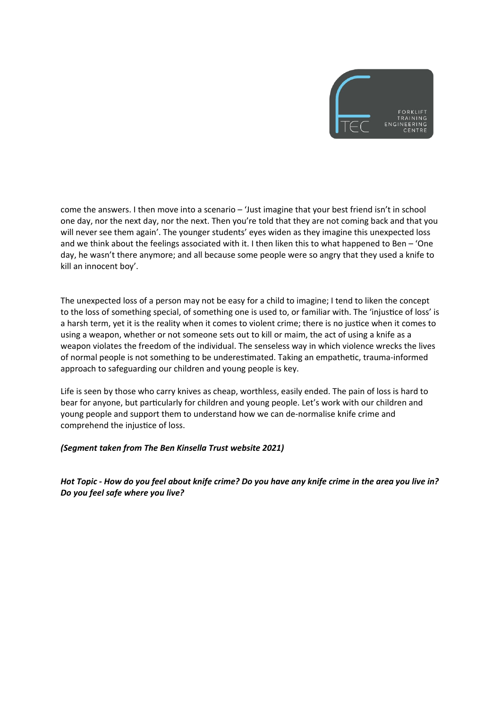

come the answers. I then move into a scenario – 'Just imagine that your best friend isn't in school one day, nor the next day, nor the next. Then you're told that they are not coming back and that you will never see them again'. The younger students' eyes widen as they imagine this unexpected loss and we think about the feelings associated with it. I then liken this to what happened to Ben – 'One day, he wasn't there anymore; and all because some people were so angry that they used a knife to kill an innocent boy'.

The unexpected loss of a person may not be easy for a child to imagine; I tend to liken the concept to the loss of something special, of something one is used to, or familiar with. The 'injustice of loss' is a harsh term, yet it is the reality when it comes to violent crime; there is no justice when it comes to using a weapon, whether or not someone sets out to kill or maim, the act of using a knife as a weapon violates the freedom of the individual. The senseless way in which violence wrecks the lives of normal people is not something to be underestimated. Taking an empathetic, trauma-informed approach to safeguarding our children and young people is key.

Life is seen by those who carry knives as cheap, worthless, easily ended. The pain of loss is hard to bear for anyone, but particularly for children and young people. Let's work with our children and young people and support them to understand how we can de-normalise knife crime and comprehend the injustice of loss.

#### *(Segment taken from The Ben Kinsella Trust website 2021)*

*Hot Topic - How do you feel about knife crime? Do you have any knife crime in the area you live in? Do you feel safe where you live?*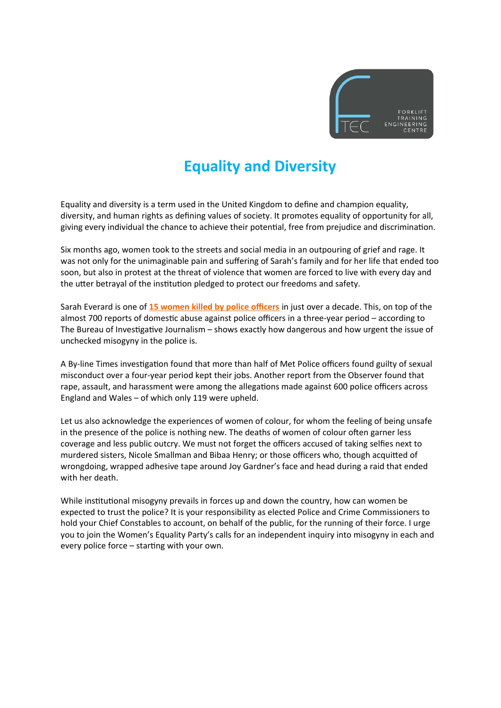

# **Equality and Diversity**

Equality and diversity is a term used in the United Kingdom to define and champion equality, diversity, and human rights as defining values of society. It promotes equality of opportunity for all, giving every individual the chance to achieve their potential, free from prejudice and discrimination.

Six months ago, women took to the streets and social media in an outpouring of grief and rage. It was not only for the unimaginable pain and suffering of Sarah's family and for her life that ended too soon, but also in protest at the threat of violence that women are forced to live with every day and the utter betrayal of the institution pledged to protect our freedoms and safety.

Sarah Everard is one of **15 women killed by police officers** in just over a decade. This, on top of the almost 700 reports of domestic abuse against police officers in a three-year period – according to The Bureau of Investigative Journalism – shows exactly how dangerous and how urgent the issue of unchecked misogyny in the police is.

A By-line Times investigation found that more than half of Met Police officers found guilty of sexual misconduct over a four-year period kept their jobs. Another report from the Observer found that rape, assault, and harassment were among the allegations made against 600 police officers across England and Wales – of which only 119 were upheld.

Let us also acknowledge the experiences of women of colour, for whom the feeling of being unsafe in the presence of the police is nothing new. The deaths of women of colour often garner less coverage and less public outcry. We must not forget the officers accused of taking selfies next to murdered sisters, Nicole Smallman and Bibaa Henry; or those officers who, though acquitted of wrongdoing, wrapped adhesive tape around Joy Gardner's face and head during a raid that ended with her death.

While institutional misogyny prevails in forces up and down the country, how can women be expected to trust the police? It is your responsibility as elected Police and Crime Commissioners to hold your Chief Constables to account, on behalf of the public, for the running of their force. I urge you to join the Women's Equality Party's calls for an independent inquiry into misogyny in each and every police force – starting with your own.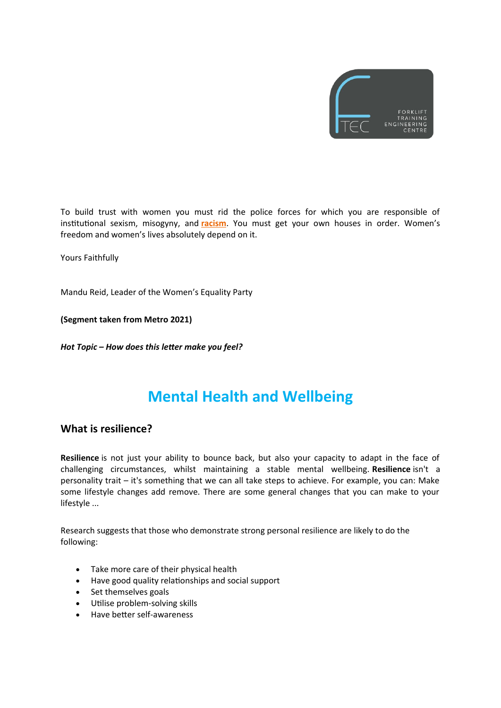

To build trust with women you must rid the police forces for which you are responsible of institutional sexism, misogyny, and **racism**. You must get your own houses in order. Women's freedom and women's lives absolutely depend on it.

Yours Faithfully

Mandu Reid, Leader of the Women's Equality Party

**(Segment taken from Metro 2021)**

*Hot Topic – How does this letter make you feel?* 

### **Mental Health and Wellbeing**

#### **What is resilience?**

**Resilience** is not just your ability to bounce back, but also your capacity to adapt in the face of challenging circumstances, whilst maintaining a stable mental wellbeing. **Resilience** isn't a personality trait – it's something that we can all take steps to achieve. For example, you can: Make some lifestyle changes add remove. There are some general changes that you can make to your lifestyle ...

Research suggests that those who demonstrate strong personal resilience are likely to do the following:

- Take more care of their physical health
- Have good quality relationships and social support
- Set themselves goals
- Utilise problem-solving skills
- Have better self-awareness